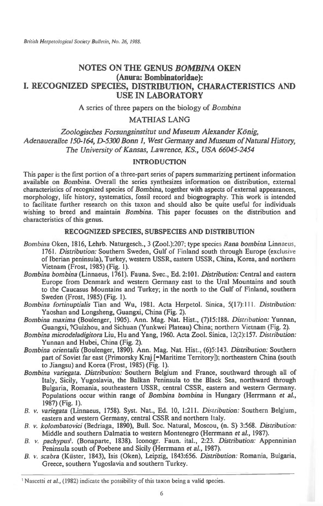# **NOTES ON THE GENUS** *BOMBINA* **OKEN (Anura: Bombinatoridae): I. RECOGNIZED SPECIES, DISTRIBUTION, CHARACTERISTICS AND USE IN LABORATORY**

A series of three papers on the biology of *Bombina* 

MATHIAS LANG

Zoologisches Forsungsinstitut und Museum Alexander König. *Adenauerallee 150-164, D-5300 Bonn 1, West Germany and Museum of Natural History, The University of Kansas, Lawrence, KS., USA 66045-2454* 

# INTRODUCTION

This paper is the first portion of a three-part series of papers summarizing pertinent information available on *Bombina.* Overall the series synthesizes information on distribution, external characteristics of recognized species of *Bombina,* together with aspects of external appearances, morphology, life history, systematics, fossil record and biogeography. This work is intended to facilitate further research on this taxon and should also be quite useful for individuals wishing to breed and maintain *Bombina.* This paper focusses on the distribution and characteristics of this genus.

# RECOGNIZED SPECIES, SUBSPECIES AND DISTRIBUTION

- *Bombina* Oken, 1816, Lehrb. Naturgesch., 3 (Zool.):207; type species *Rana bombina* Linnaeus, 1761. *Distribution:* Southern Sweden, Gulf of Finland south through Europe (exclusive of Iberian peninsula), Turkey, western USSR, eastern USSR, China, Korea, and northern Vietnam (Frost, 1985) (Fig. 1).
- *Bombina bombina* (Linnaeus, 1761). Fauna. Svec., Ed. 2:101. *Distribution:* Central and eastern Europe from Denmark and western Germany east to the Ural Mountains and south to the Caucasus Mountains and Turkey; in the north to the Gulf of Finland, southern Sweden (Frost, 1985) (Fig. I).
- *Bombina fortinuptialis* Tian and Wu, 1981. Acta Herpetol. Sinica, 5(17):11I. *Distribution:*  Yaoshan and Longsheng, Guangxi, China (Fig. 2).
- *Bombina maxima* (Boulenger, 1905). Ann. Mag. Nat. Hist., (7)15:188. *Distribution:* Yunnan, Guangxi, ?Guizhou, and Sichuan (Yunkwei Plateau) China; northern Vietnam (Fig. 2).
- *Bombina microdeladigitora* Liu, Hu and Yang, 1960. Acta Zool. Sinica, 12(2):157. *Distribution:*  Yunnan and Hubei, China (Fig. 2).
- *Bombina orientalis* (Boulenger, 1890). Ann. Mag. Nat. Hist., (6)5:143. *Distribution:* Southern part of Soviet far east (Primorsky Kraj [=Maritime Territory]); northeastern China (south to Jiangsu) and Korea (Frost, 1985) (Fig. 1).
- *Bombina variegata. Distribution:* Southern Belgium and France, southward through all of Italy, Sicily, Yugoslavia, the Balkan Peninsula to the Black Sea, northward through Bulgaria, Romania, southeastern USSR, central CSSR, eastern and western Germany. Populations occur within range of *Bombina bombina* in Hungary (Herrmann *et al.,*  1987) (Fig. 1).
- *B. v. variegata* (Linnaeus, 1758). Syst. Nat., Ed. 10, 1:211. *Distribution:* Southern Belgium, eastern and western Germany, central CSSR and northern Italy.
- *B. v. kolombatovici* (Bedriaga, 1890), Bull. Soc. Natural, Moscou, (n. S) 3:568. *Distribution:*  Middle and southern Dalmatia to western Montenegro (Herrmann *et* al., 1987).
- *B. v. pachypus1.* (Bonaparte, 1838). Iconogr. Faun. ital., 2:23. *Distribution:* Appenninian Peninsula south of Poebene and Sicily (Herrmann *et aL,* 1987).
- *B. v. scabra* (Kiister, 1843), Isis (Oken), Leipzig, 1843:656. *Distribution:* Romania, Bulgaria, Greece, southern Yugoslavia and southern Turkey.

<sup>&#</sup>x27; Nascetti *et* **al.,** (1982) indicate the possibility of this taxon being a valid species.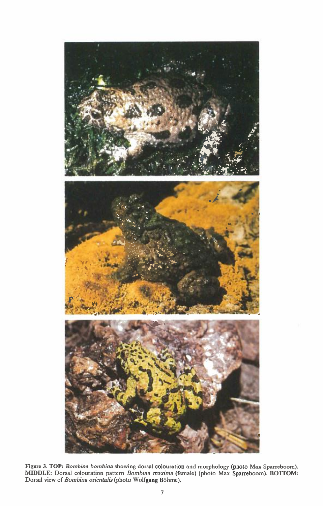

Figure 3. TOP: *Bombina bombina* showing dorsal colouration and morphology (photo Max Sparreboom). MIDDLE: Dorsal colouration pattern *Bombina maxima* (female) (photo Max Sparreboom). BOTTOM: Dorsal view of *Bombina orientalis* (photo Wolfgang Böhme).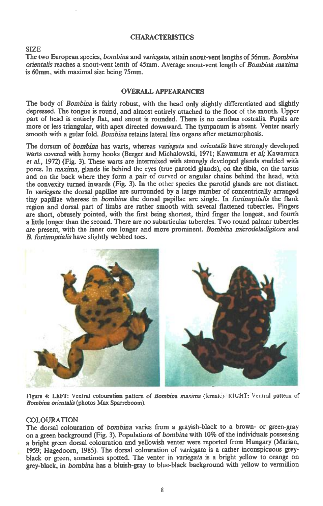### **CHARACTERISTICS**

#### **SIZE**

**The two European species,** *bombina* **and** *variegata,* **attain snout-vent lengths of 56mm.** *Bombina orientalis* **reaches a snout-vent lenth of 45mm. Average snout-vent length of** *Bombina maxima*  **is 60mm, with maximal size being 75mm.** 

# **OVERALL APPEARANCES**

**The body of** *Bombina* **is fairly robust, with the head only slightly differentiated and slightly depressed. The tongue is round, and almost entirely attached to the floor of the mouth. Upper part of head is entirely flat, and snout is rounded. There is no canthus rostralis. Pupils are more or less triangular, with apex directed downward. The tympanum is absent. Venter nearly smooth with a gular fold.** *Bombina* **retains lateral line organs after metamorphosis.** 

**The dorsum of** *bombina* **has warts, whereas** *variegata* **and** *orientalis* **have strongly developed**  warts covered with horny hooks (Berger and Michalowski, 1971; Kawamura *et al*; Kawamura *et al.,* **1972) (Fig. 3). These warts are intermixed with strongly developed glands studded with pores. In** *maxima,* **glands lie behind the eyes (true parotid glands), on the tibia, on the tarsus and on the back where they form a pair of curved or angular chains behind the head, with the convexity turned inwards (Fig. 3). In the other species the parotid glands are not distinct. In** *variegata* **the dorsal papillae are surrounded by a large number of concentrically arranged tiny papillae whereas in** *bombina* **the dorsal papillae are single. In** *fortinuptialis the* **flank region and dorsal part of limbs are rather smooth with several flattened tubercles. Fingers are short, obtusely pointed, with the first being shortest, third finger the longest, and fourth a little longer than the second. There are no subarticular tubercles. Two round palmar tubercles are present, with the inner one longer and more prominent.** *Bombina microdeladigitora* **and**  *B. fortinuptialis* **have slightly webbed toes.** 



Figure 4: LEFT: Ventral colouration pattern of *Bombina maxima (female}* RIGHT: Ventral pattern of *Bombina orientalis* **(photos Max Sparreboom).** 

#### **COLOURATION**

**The dorsal colouration of** *bombina* **varies from a grayish-black to a brown- or green-gray on a green background (Fig. 3). Populations of** *bombina* **with 10% of the individuals possessing a bright green dorsal colouration and yellowish venter were reported from Hungary (Marian, 1959; Hagedoorn, 1985). The dorsal colouration of** *variegata* **is a rather inconspicuous greyblack or green, sometimes spotted. The venter in** *variegata is* **a bright yellow to orange on grey-black, in** *bombina* **has a bluish-gray to blue-black background with yellow to vermillion**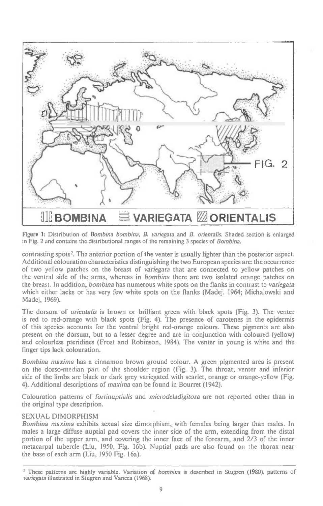

Figure 1: Distribution of Bombina bombina, B. *varicgata* and B. *orientalis.* Shaded section is enlarged in Fig. 2 and contains the distributional ranges of the remaining 3 species of Bombina.

contrasting spots2. The anterior portion of the venter is usually lighter than the posterior aspect. Additional colouration characteristics distinguishing the two European species are: the occurrence of two yellow patches on the breast of variegata that are connected to yellow patches on the ventral side of the arms, whereas in bombina there are two isolated orange patches on the breast. In addition, bombina has numerous white spots on the flanks in contrast to variegata which either lacks or has very few white spots on the flanks (Madej, 1964; Michalowski and Madej, 1969).

The dorsum of orientalis is brown or brilliant green with black spots (Fig. 3). The venter is red to red-orange with black spots (Fig. 4). The presence of carotenes in the epidermis of this species accounts for the ventral bright red-orange colours. These pigments are also present on the dorsum, but to a lesser degree and are in conjunction with coloured (yellow) and colourless pteridines (Frost and Robinson, 1984). The venter in young is white and the finger tips lack colouration.

Bombina maxima has a cinnamon brown ground colour. A green pigmented area is present on the dorso-median part of the shoulder region (Fig. 3). The throat, venter and inferior side of the limbs are black or dark grey variegated with scarlet, orange or orange-yellow (Fig. 4). Additional descriptions of maxima can be found in Bourret (1942).

Colouration patterns of fortinuptialis and microdeladigitora are not reported other than in the original type description.

#### SEXUAL DIMORPHISM

Bombina maxima exhibits sexual size dimorphism, with females being larger than males. In males a large diffuse nuptial pad covers the inner side of the arm, extending from the distal portion of the upper arm, and covering the inner face of the forearm, and 2/3 of the inner metacarpal tubercle (Liu, 1950, Fig. 16b). Nuptial pads are also found on the thorax near the base of each arm (Liu, 1950 Fig. 16a).

<sup>&</sup>lt;sup>2</sup> These patterns are highly variable. Variation of bombina is described in Stugren (1980), patterns of *variegata* illustrated in Stugren and Vancea (1968).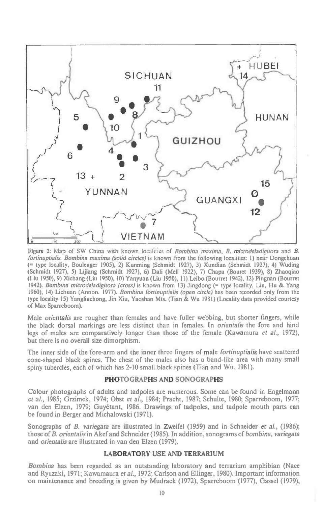

Figure 2: Map of SW China with known localities of Bombina maxima, B. microdeladigitora and B. fortinuptialis. Bombina maxima (solid circles) is known from the following localities: 1) near Dongchuan (= type locality, Boulenger 1905), 2) Kunming (Schmidt 1927), 3) Xundian (Schmidt 1927), 4) Wuding (Schmidt 1927), 5) Lijiang (Schmidt 1927), 6) Dali (Melt 1922), 7) Chapa (Bouret 1939), 8) Zhaoqiao (Liu 1950), 9) Xichang (Liu 1950), 10) Yanyuan (Liu 1950), 11) Leibo (Bourret 1942), 12) Pingnan (Bourret 1942). Bombina microdeladigitora (cross) is known from 13) Jingdong (= type locality, Liu, Hu & Yang 1960), 14) Lichuan (Annon. 1977). Bombina fortinuptialis (open circle) has been recorded only from the type locality 15) Yangliuchong, Jin Xiu, Yaoshan Mts. (Tian & Wu 1981) (Locality data provided courtesy of Max Sparreboom).

Male orientalis are rougher than females and have fuller webbing, but shorter fingers, while the black dorsal markings are less distinct than in females. In orientalis the fore and hind legs of males are comparatively longer than those of the female (Kawamura et al., 1972), but there is no overall size dimorphism.

The inner side of the fore-arm and the inner three fingers of male *fortinuptialis* have scattered cone-shaped black spines. The chest of the males also has a band-like area with many small spiny tubercles, each of which has 2-10 small black spines (Tian and Wu, 1981).

# **PHOTOGRAPHS AND SONOGRAPHS**

Colour photographs of adults and tadpoles are numerous. Some can be found in Engelmann et al., 1985; Grzimek, 1974; Obst et al., 1984; Pracht, 1987; Schulte, 1980; Sparreboom, 1977; van den Elzen, 1979; Guyetant, 1986. Drawings of tadpoles, and tadpole mouth parts can be found in Berger and Michalowski (1971).

Sonographs of B. variegata are illustrated in Zweifel (1959) and in Schneider et al., (1986); those of B. orientalis in Akef and Schneider (1985). In addition, sonograms of bombina, variegata and orientalis are illustrated in van den Elzen (1979).

# **LABORATORY USE AND TERRARIUM**

Bombina has been regarded as an outstanding laboratory and terrarium amphibian (Nace and Ryuzaki, 1971; Kawamaura et al., 1972; Carlson and Ellinger, 1980). Important information on maintenance and breeding is given by Mudrack (1972), Sparreboom (1977), Gassel (1979),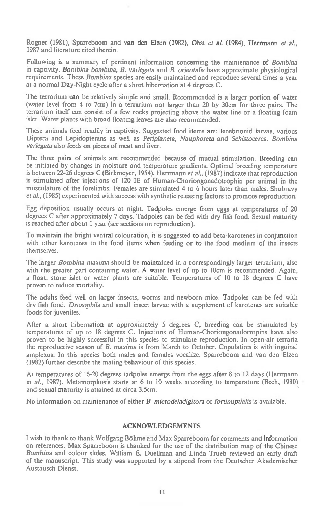Rogner (1981), Sparreboom and van den Elzen (1982), Obst *et* a/. (1984), Herrmann *et al.,*  1987 and literature cited therein.

Following is a summary of pertinent information concerning the maintenance of *Bombina in captivity. Bombina bombina, B. variegata* and *B. orientalis* have approximate physiological requirements. These *Bombina* species are easily maintained and reproduce several times a year at a normal Day-Night cycle after a short hibernation at 4 degrees C.

The terrarium can be relatively simple and small. Recommended is a larger portion of water (water level from 4 to 7cm) in a terrarium not larger than 20 by 30cm for three pairs. The terrarium itself can consist of a few rocks projecting above the water line or a floating foam islet. Water plants with broad floating leaves are also recommended.

These animals feed readily in captivity. Suggested food items are: tenebrionid larvae, various Diptera and Lepidopterans as well as *Periplaneta, Nauphoreta* and *Schistocerca. Bombina variegata* also feeds on pieces of meat and liver.

The three pairs of animals are recommended because of mutual stimulation. Breeding can be initiated by changes in moisture and temperature gradients. Optimal breeding temperature is between 22-26 degrees C (Birkmeyer, 1954). Herrmann *et al.,* (1987) indicate that reproduction is stimulated after injections of 120 IE of Human-Choriongonadotrophin per animal in the musculature of the forelimbs. Females are stimulated 4 to 6 hours later than males. Shubravy *et aL, (1985)* experimented with success with synthetic releasing factors to promote reproduction.

Egg deposition usually occurs at night. Tadpoles emerge from eggs at temperatures of 20 degrees C after approximately 7 days. Tadpoles can be fed with dry fish food. Sexual maturity is reached after about 1 year (see sections on reproduction).

To maintain the bright ventral colouration, it is suggested to add beta-karotenes in conjunction with other karotenes to the food items when feeding or to the food medium of the insects themselves.

The larger *Bombina maxima* should be maintained in a correspondingly larger terrarium, also with the greater part containing water. A water level of up to 10cm is recommended. Again, a float, stone islet or water plants are suitable. Temperatures of 10 to 18 degrees C have proven to reduce mortality.

The adults feed well on larger insects, worms and newborn mice. Tadpoles can be fed with dry fish food. *Drosophila* and small insect larvae with a supplement of karotenes are suitable foods for juveniles.

After a short hibernation at approximately 5 degrees C, breeding can be stimulated by temperatures of up to 18 degrees C. Injections of Human-Choriongonadotropins have also proven to be highly successful in this species to stimulate reproduction. In open-air terraria the reproductive season of *B. maxima is* from March to October. Copulation is with inguinal amplexus. In this species both males and females vocalize. Sparreboom and van den Elzen (1982) further describe the mating behaviour of this species.

At temperatures of 16-20 degrees tadpoles emerge from the eggs after 8 to 12 days (Herrmann *et al.,* 1987). Metamorphosis starts at 6 to 10 weeks according to temperature (Bech, 1980) and sexual maturity is attained at circa 3.5cm.

No information on maintenance of either *B. microdeladigitora* or *fortinuptialis is available.* 

# ACKNOWLEDGEMENTS

I wish to thank to thank Wolfgang Bohme and Max Sparreboom for comments and information on references. Max Sparreboom is thanked for the use of the distribution map of the Chinese *Bombina* and colour slides. William E. Duellman and Linda Trueb reviewed an early draft of the manuscript. This study was supported by a stipend from the Deutscher Akademischer Austausch Dienst.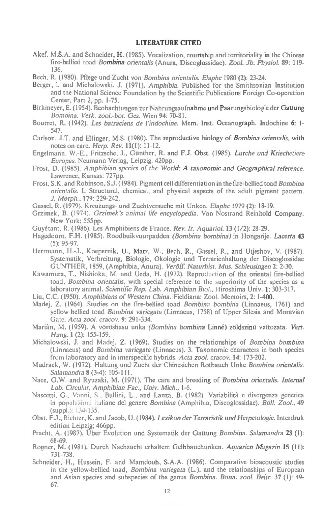# LITERATURE CITED

Akef, M.S.A. and Schneider, H. (1985). Vocalization, courtship and territoriality in the Chinese fire-bellied toad *Bombina orientalis* (Anura, Discoglossidae). *Zool. Jb. Physiol.* 89: 119- 136.

Bech, R. (1980). Pflege und Zucht von *Bombina orientalis. Elaphe* 1980 (2): 23-24.

- Berger, I. and Michalowski. J. (1971). *Amphibia.* Published for the Smithsonian Institution and the National Science Foundation by the Scientific Publications Foreign Co-operation Center, Part 2, pp. 1-75.
- Birkmeyer, E. (1954). Beobachtungen zur Nahrungsaufnahme und Paarungsbiologie der Gattung *Bombina. Verk. zooL-bot. Ges.* Wien 94: 70-81.
- Bourret, R. (1942). *Les batraciens de l'indochine.* Mem. Inst. Oceanograph. Indochine 6: 1- 547.
- Carlson, J.T. and Ellinger, M.S. (1980). The reproductive biology of *Bombina orientalis, with*  notes on care. *Herp. Rev. 11(1):* 11-12.
- Engelmann, W.-E., Fritzsche, J., Gunther, R. and F.J. Obst. (1985). *Lurche und Kriechetiere Europas.* Neumann Verlag, Leipzig. 420pp.
- Frost, D. (1985). *Amphibian species of the World: A taxonomic and Geographical reference.*  Lawrence, Kansas: 727pp.
- Frost, S.K. and Robinson, S.J. (1984). Pigment cell differentiation in the fire-bellied toad *Bombina orientalis. I.* Structural, chemical, and physical aspects of the adult pigment pattern. *J. Morph.,* 179: 229-242.
- Cassel, R. (1979). Kreuzungs- und Zuchtversuche mit Unken. *Elaphe* 1979 (2): 18-19.
- Grzimek, B. (1974). *Grzimek's animal life encyclopedia.* Van Nostrand Reinhold Company. New York; 555pp.
- Guyétant, R. (1986). Les Amphibiens de France. *Rev. fr. Aquariol.* 13 (1/2): 28-29.
- Hagedoorn, F.H. (1985). Roodbuikvuurpadden *(Bombina bombina)* in Hongarije. *Lacerta* 43 (5): 95-97.
- Herrmann, H.-J., Koepernik, U., Matz, W., Bech, R., Gassel, R., and Utjeshov, V. (1987). Systematik, Verbreitung, Biologie, Okologie und Terrarienhaltung der Discoglossidae GUNTHER, 1859, (Amphibia, Anura). *Veroff Naturhist. Mus. Schleusingen* 2: 2-30.
- Kawamura, T., Nishioka, M. and Ueda, H. (1972). Reproduction of the oriental fire-bellied toad, *Bombina orientalis,* with special reference to the superiority of the species as a laboratory animal. *Scientific Rep. Lab. Amphibian Biol.,* Hiroshima Univ. 1: 303-317.
- Liu, C.C. (1950). *Amphibians of Western China.* Fieldiana: Zool. Memoirs, 2: 1-400.
- Madej, Z. (1964). Studies on the fire-bellied toad *Bombina bombina* (Linnaeus, 1761) and yellow bellied toad *Bombina variegata* (Linnaeus, 1758) of Upper Silesia and Moravian *Gate. Acta zool. cracov.* 9: 291-334.
- Mariàn, M. (1959). A vöröshasu unka *(Bombina bombina Linné)* zöldszinű vattozata. Vert. *Hung. 1* (2): 155-159.
- Michalowski, J. and Madej, Z. (1969). Studies on the relationships of *Bombina bombina*  (Linnaeus) and *Bombina variegata (Linnaeus). 3.* Taxonomic characters in both species from laboratory and in interspecific hybrids. *Acta zool. cracov.* 14: 173-202.
- Mudrack, W. (1972). Haltung und Zucht der Chinesichen Rotbauch Unke *Bombina orientalis. Salamandra* **8** (3-4): 105-11 l.
- Nace, G.W. and Ryuzaki, M. (1971). The care and breeding *of Bombina orientalis. Internal Lab. Circular, Amphibian Fac., Univ. Mich., 1-6.*
- Nascetti, G., Vanni, S., Bullini, L., and Lanza, B. (1982). Variabilità e divergenza genetica in populazioni italiane del genere *Bombina* (Amphibia, Discoglossidae). *Boll. Zool.*, **49**  $(supp.): 134-135.$
- Obst. F.J., Richter, K. and Jacob, U. (1984). *Lexikon der Terraristik und Herpetologie.* lnterdruk edition Leipzig; 466pp.
- Pracht, A. (1987). Uber Evolution und Systematik der Gattung *Bombina. Salamandra* 23 (I): 68-69.
- Rogner, M. (1981). Durch Nachzucht erhalten: Gelbbauchunken. *Aquarien Magazin* **15 (11):**  731-738.
- Schneider, H., Hussein, F. and Mamdouh, S.A.A. (1986). Comparative bioacoustic studies in the yellow-bellied *toad, Bombina variegata* (L.), and the relationships of European and Asian species and subspecies of the genus *Bombina. Bonn. zool. Beitr.* 37 (1): 49- 67.